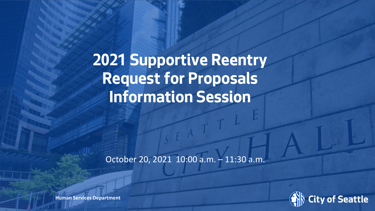**2021 Supportive Reentry Request for Proposals Information Session**

October 20, 2021 10:00 a.m. – 11:30 a.m.



**Human Services Department**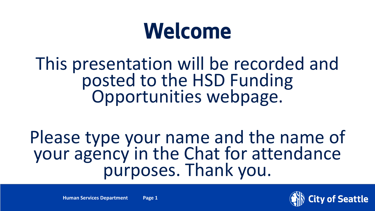# **Welcome**

# This presentation will be recorded and posted to the HSD Funding Opportunities webpage.

Please type your name and the name of your agency in the Chat for attendance<br>purposes. Thank you.

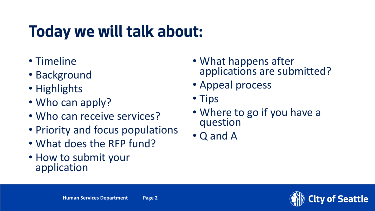# **Today we will talk about:**

- Timeline
- Background
- Highlights
- Who can apply?
- Who can receive services?
- Priority and focus populations
- What does the RFP fund?
- How to submit your application
- What happens after applications are submitted?
- Appeal process
- Tips
- Where to go if you have a question
- Q and A

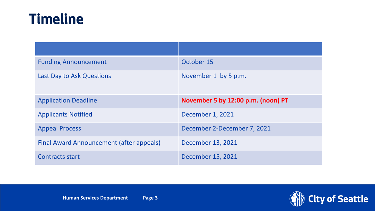#### **Timeline**

| <b>Funding Announcement</b>              | October 15                         |
|------------------------------------------|------------------------------------|
| <b>Last Day to Ask Questions</b>         | November 1 by 5 p.m.               |
| <b>Application Deadline</b>              | November 5 by 12:00 p.m. (noon) PT |
| <b>Applicants Notified</b>               | December 1, 2021                   |
| <b>Appeal Process</b>                    | December 2-December 7, 2021        |
| Final Award Announcement (after appeals) | December 13, 2021                  |
| <b>Contracts start</b>                   | December 15, 2021                  |

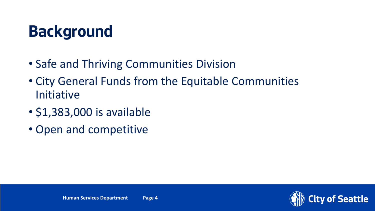### **Background**

- Safe and Thriving Communities Division
- City General Funds from the Equitable Communities Initiative
- \$1,383,000 is available
- Open and competitive

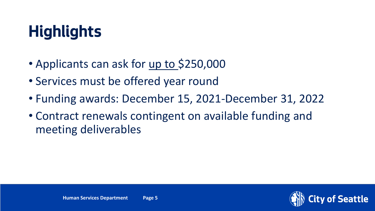# **Highlights**

- Applicants can ask for up to \$250,000
- Services must be offered year round
- Funding awards: December 15, 2021-December 31, 2022
- Contract renewals contingent on available funding and meeting deliverables

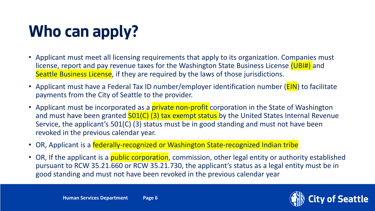# **Who can apply?**

- Applicant must meet all licensing requirements that apply to its organization. Companies must license, report and pay revenue taxes for the Washington State Business License (UBI#) and Seattle Business License, if they are required by the laws of those jurisdictions.
- Applicant must have a Federal Tax ID number/employer identification number (**EIN**) to facilitate payments from the City of Seattle to the provider.
- Applicant must be incorporated as a *private non-profit* corporation in the State of Washington and must have been granted **501(C) (3) tax exempt status** by the United States Internal Revenue Service, the applicant's 501(C) (3) status must be in good standing and must not have been revoked in the previous calendar year.
- OR, Applicant is a federally-recognized or Washington State-recognized Indian tribe
- OR, If the applicant is a *public corporation*, commission, other legal entity or authority established pursuant to RCW 35.21.660 or RCW 35.21.730, the applicant's status as a legal entity must be in good standing and must not have been revoked in the previous calendar year

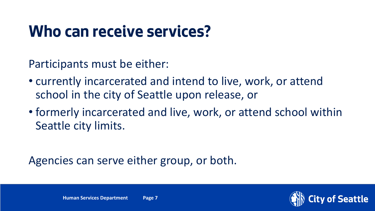### **Who can receive services?**

Participants must be either:

- currently incarcerated and intend to live, work, or attend school in the city of Seattle upon release, or
- formerly incarcerated and live, work, or attend school within Seattle city limits.

Agencies can serve either group, or both.

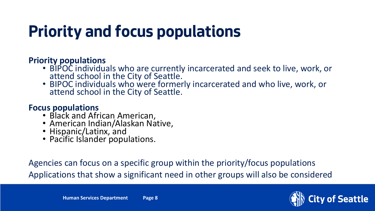# **Priority and focus populations**

#### **Priority populations**

- BIPOC individuals who are currently incarcerated and seek to live, work, or attend school in the City of Seattle.
- BIPOC individuals who were formerly incarcerated and who live, work, or attend school in the City of Seattle.

#### **Focus populations**

- Black and African American,
- American Indian/Alaskan Native,
- Hispanic/Latinx, and
- Pacific Islander populations.

Agencies can focus on a specific group within the priority/focus populations Applications that show a significant need in other groups will also be considered

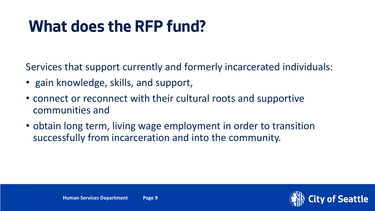### **What does the RFP fund?**

Services that support currently and formerly incarcerated individuals:

- gain knowledge, skills, and support,
- connect or reconnect with their cultural roots and supportive communities and
- obtain long term, living wage employment in order to transition successfully from incarceration and into the community.

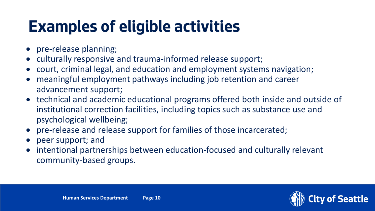### **Examples of eligible activities**

- pre-release planning;
- culturally responsive and trauma-informed release support;
- court, criminal legal, and education and employment systems navigation;
- meaningful employment pathways including job retention and career advancement support;
- technical and academic educational programs offered both inside and outside of institutional correction facilities, including topics such as substance use and psychological wellbeing;
- pre-release and release support for families of those incarcerated;
- peer support; and
- intentional partnerships between education-focused and culturally relevant community-based groups.

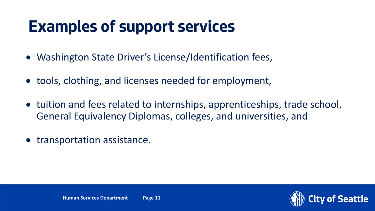#### **Examples of support services**

- Washington State Driver's License/Identification fees,
- tools, clothing, and licenses needed for employment,
- tuition and fees related to internships, apprenticeships, trade school, General Equivalency Diplomas, colleges, and universities, and
- transportation assistance.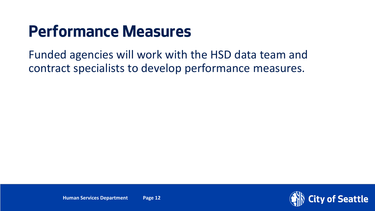#### **Performance Measures**

Funded agencies will work with the HSD data team and contract specialists to develop performance measures.

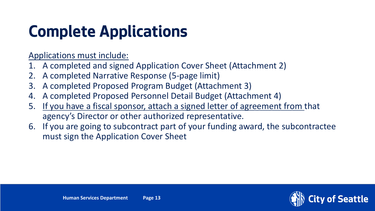# **Complete Applications**

Applications must include:

- 1. A completed and signed Application Cover Sheet (Attachment 2)
- 2. A completed Narrative Response (5-page limit)
- 3. A completed Proposed Program Budget (Attachment 3)
- 4. A completed Proposed Personnel Detail Budget (Attachment 4)
- 5. If you have a fiscal sponsor, attach a signed letter of agreement from that agency's Director or other authorized representative.
- 6. If you are going to subcontract part of your funding award, the subcontractee must sign the Application Cover Sheet

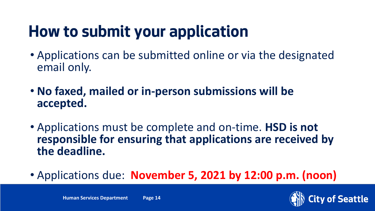# **How to submit your application**

- Applications can be submitted online or via the designated email only.
- **No faxed, mailed or in-person submissions will be accepted.**
- Applications must be complete and on-time. **HSD is not responsible for ensuring that applications are received by the deadline.**
- Applications due: **November 5, 2021 by 12:00 p.m. (noon)**

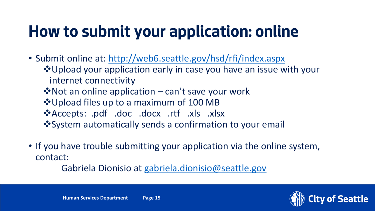# **How to submit your application: online**

- Submit online at:<http://web6.seattle.gov/hsd/rfi/index.aspx>
	- ❖ Upload your application early in case you have an issue with your internet connectivity
	- Not an online application can't save your work
	- Upload files up to a maximum of 100 MB
	- \*Accepts: .pdf .doc .docx .rtf .xls .xlsx
	- System automatically sends a confirmation to your email
- If you have trouble submitting your application via the online system, contact:

Gabriela Dionisio at [gabriela.dionisio@seattle.gov](mailto:gabriela.dionisio@seattle.gov)

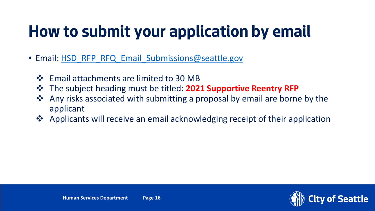# **How to submit your application by email**

- Email: [HSD\\_RFP\\_RFQ\\_Email\\_Submissions@seattle.gov](mailto:HSD_RFP_RFQ_Email_Submissions@seattle.gov)
	- ❖ Email attachments are limited to 30 MB
	- The subject heading must be titled: **2021 Supportive Reentry RFP**
	- $\triangle$  Any risks associated with submitting a proposal by email are borne by the applicant
	- †↑ Applicants will receive an email acknowledging receipt of their application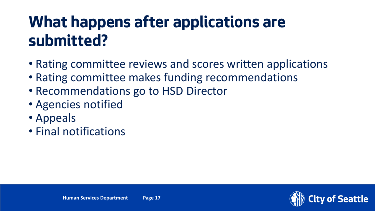### **What happens after applications are submitted?**

- Rating committee reviews and scores written applications
- Rating committee makes funding recommendations
- Recommendations go to HSD Director
- Agencies notified
- Appeals
- Final notifications

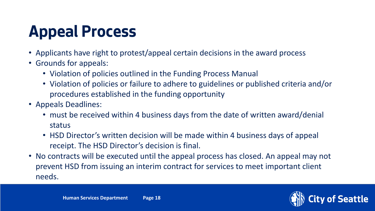# **Appeal Process**

- Applicants have right to protest/appeal certain decisions in the award process
- Grounds for appeals:
	- Violation of policies outlined in the Funding Process Manual
	- Violation of policies or failure to adhere to guidelines or published criteria and/or procedures established in the funding opportunity
- Appeals Deadlines:
	- must be received within 4 business days from the date of written award/denial status
	- HSD Director's written decision will be made within 4 business days of appeal receipt. The HSD Director's decision is final.
- No contracts will be executed until the appeal process has closed. An appeal may not prevent HSD from issuing an interim contract for services to meet important client needs.



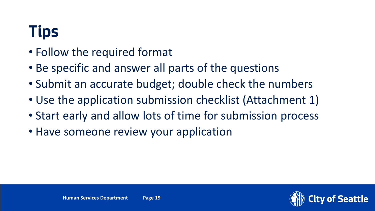# **Tips**

- Follow the required format
- Be specific and answer all parts of the questions
- Submit an accurate budget; double check the numbers
- Use the application submission checklist (Attachment 1)
- Start early and allow lots of time for submission process
- Have someone review your application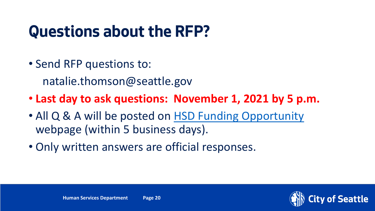### **Questions about the RFP?**

• Send RFP questions to:

natalie.thomson@seattle.gov

- **Last day to ask questions: November 1, 2021 by 5 p.m.**
- All Q & A will be posted on [HSD Funding Opportunity](http://www.seattle.gov/humanservices/funding-and-reports/funding-opportunities/2021-reentry-rfp) webpage (within 5 business days).
- Only written answers are official responses.